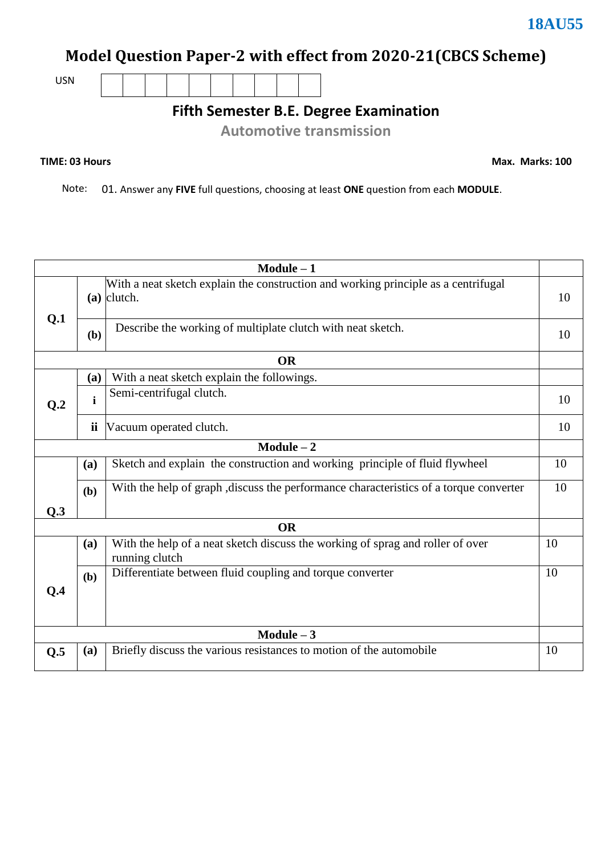# **Model Question Paper-2 with effect from 2020-21(CBCS Scheme)**

USN

**Fifth Semester B.E. Degree Examination**

**Automotive transmission**

### **TIME: 03 Hours**

**Max. Marks: 100**

Note: 01. Answer any **FIVE** full questions, choosing at least **ONE** question from each **MODULE**.

| $Module - 1$    |              |                                                                                                     |    |  |  |  |
|-----------------|--------------|-----------------------------------------------------------------------------------------------------|----|--|--|--|
|                 |              | With a neat sketch explain the construction and working principle as a centrifugal<br>$(a)$ clutch. | 10 |  |  |  |
| Q.1             | (b)          | Describe the working of multiplate clutch with neat sketch.                                         | 10 |  |  |  |
|                 |              | <b>OR</b>                                                                                           |    |  |  |  |
|                 | (a)          | With a neat sketch explain the followings.                                                          |    |  |  |  |
| Q <sub>.2</sub> | $\mathbf{i}$ | Semi-centrifugal clutch.                                                                            | 10 |  |  |  |
|                 | ii           | Vacuum operated clutch.                                                                             | 10 |  |  |  |
|                 |              | $Module - 2$                                                                                        |    |  |  |  |
|                 | (a)          | Sketch and explain the construction and working principle of fluid flywheel                         | 10 |  |  |  |
|                 | (b)          | With the help of graph , discuss the performance characteristics of a torque converter              | 10 |  |  |  |
| Q.3             |              |                                                                                                     |    |  |  |  |
|                 |              | <b>OR</b>                                                                                           |    |  |  |  |
|                 | (a)          | With the help of a neat sketch discuss the working of sprag and roller of over<br>running clutch    | 10 |  |  |  |
| Q.4             | (b)          | Differentiate between fluid coupling and torque converter                                           | 10 |  |  |  |
|                 |              |                                                                                                     |    |  |  |  |
|                 | Module $-3$  |                                                                                                     |    |  |  |  |
| Q.5             | (a)          | Briefly discuss the various resistances to motion of the automobile                                 | 10 |  |  |  |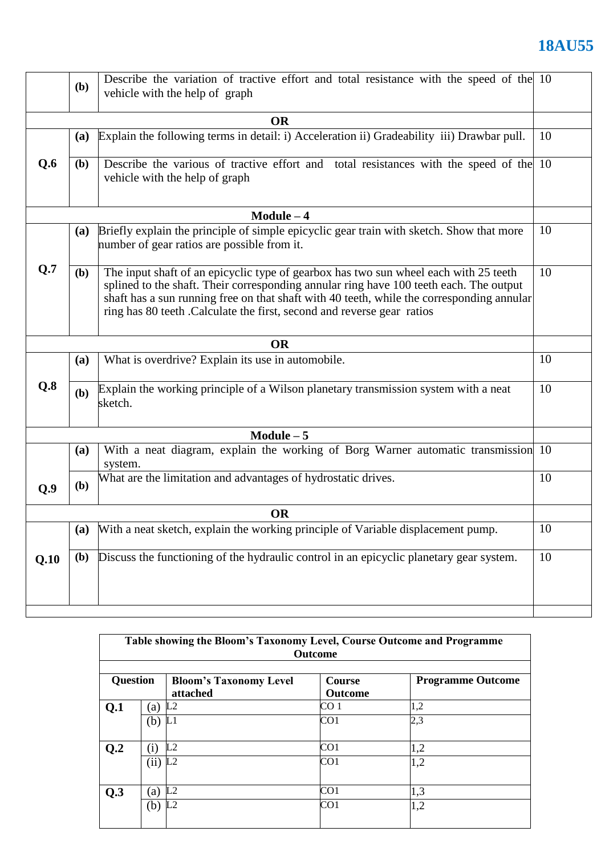# **18AU55**

|             | Describe the variation of tractive effort and total resistance with the speed of the 10<br>(b)<br>vehicle with the help of graph         |                                                                                                                                                                                                                                                                                                                                                       |    |  |  |  |  |
|-------------|------------------------------------------------------------------------------------------------------------------------------------------|-------------------------------------------------------------------------------------------------------------------------------------------------------------------------------------------------------------------------------------------------------------------------------------------------------------------------------------------------------|----|--|--|--|--|
|             |                                                                                                                                          |                                                                                                                                                                                                                                                                                                                                                       |    |  |  |  |  |
|             |                                                                                                                                          |                                                                                                                                                                                                                                                                                                                                                       |    |  |  |  |  |
| <b>OR</b>   |                                                                                                                                          |                                                                                                                                                                                                                                                                                                                                                       |    |  |  |  |  |
|             | <b>(a)</b>                                                                                                                               | Explain the following terms in detail: i) Acceleration ii) Gradeability iii) Drawbar pull.                                                                                                                                                                                                                                                            | 10 |  |  |  |  |
| Q.6         | Describe the various of tractive effort and total resistances with the speed of the 10<br>( <b>b</b> )<br>vehicle with the help of graph |                                                                                                                                                                                                                                                                                                                                                       |    |  |  |  |  |
|             |                                                                                                                                          | $Module - 4$                                                                                                                                                                                                                                                                                                                                          |    |  |  |  |  |
|             | <b>(a)</b>                                                                                                                               | Briefly explain the principle of simple epicyclic gear train with sketch. Show that more<br>number of gear ratios are possible from it.                                                                                                                                                                                                               | 10 |  |  |  |  |
| Q.7         | (b)                                                                                                                                      | The input shaft of an epicyclic type of gearbox has two sun wheel each with 25 teeth<br>splined to the shaft. Their corresponding annular ring have 100 teeth each. The output<br>shaft has a sun running free on that shaft with 40 teeth, while the corresponding annular<br>ring has 80 teeth .Calculate the first, second and reverse gear ratios | 10 |  |  |  |  |
|             |                                                                                                                                          | <b>OR</b>                                                                                                                                                                                                                                                                                                                                             |    |  |  |  |  |
|             | (a)                                                                                                                                      | What is overdrive? Explain its use in automobile.                                                                                                                                                                                                                                                                                                     | 10 |  |  |  |  |
| Q.8         | Explain the working principle of a Wilson planetary transmission system with a neat<br>(b)<br>sketch.                                    |                                                                                                                                                                                                                                                                                                                                                       |    |  |  |  |  |
| Module $-5$ |                                                                                                                                          |                                                                                                                                                                                                                                                                                                                                                       |    |  |  |  |  |
|             | (a)                                                                                                                                      | With a neat diagram, explain the working of Borg Warner automatic transmission 10<br>system.                                                                                                                                                                                                                                                          |    |  |  |  |  |
| Q.9         | ( <b>b</b> )                                                                                                                             | What are the limitation and advantages of hydrostatic drives.                                                                                                                                                                                                                                                                                         | 10 |  |  |  |  |
| <b>OR</b>   |                                                                                                                                          |                                                                                                                                                                                                                                                                                                                                                       |    |  |  |  |  |
|             | (a)                                                                                                                                      | With a neat sketch, explain the working principle of Variable displacement pump.                                                                                                                                                                                                                                                                      | 10 |  |  |  |  |
| Q.10        | ( <b>b</b> )                                                                                                                             | Discuss the functioning of the hydraulic control in an epicyclic planetary gear system.                                                                                                                                                                                                                                                               | 10 |  |  |  |  |
|             |                                                                                                                                          |                                                                                                                                                                                                                                                                                                                                                       |    |  |  |  |  |

| Table showing the Bloom's Taxonomy Level, Course Outcome and Programme<br><b>Outcome</b> |            |                                           |                                 |                          |  |  |
|------------------------------------------------------------------------------------------|------------|-------------------------------------------|---------------------------------|--------------------------|--|--|
| <b>Question</b>                                                                          |            | <b>Bloom's Taxonomy Level</b><br>attached | <b>Course</b><br><b>Outcome</b> | <b>Programme Outcome</b> |  |  |
| Q.1                                                                                      | (a)        | L2                                        | CO 1                            | 1,2                      |  |  |
|                                                                                          | (b)        | L1                                        | CO1                             | 2,3                      |  |  |
| Q <sub>2</sub>                                                                           | $\rm(i)$   | L2                                        | CO1                             | 1,2                      |  |  |
|                                                                                          | (ii)       | L <sub>2</sub>                            | CO <sub>1</sub>                 | 1,2                      |  |  |
| Q.3                                                                                      | (a)        | L2                                        | CO1                             | 1,3                      |  |  |
|                                                                                          | (b) $ L2 $ |                                           | CO1                             | 1,2                      |  |  |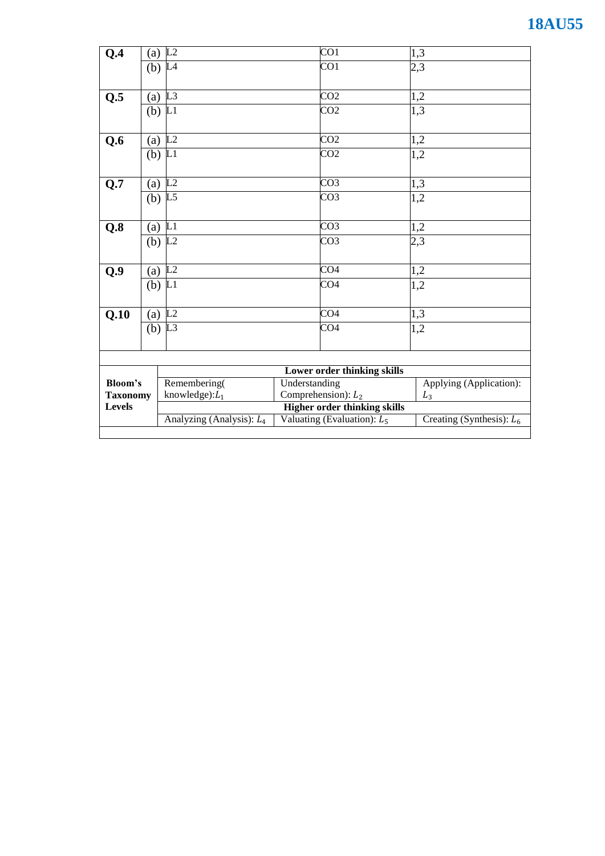| Q.4                         |     | (a) $\overline{L2}$                                                                         | CO <sub>1</sub>       | 1,3                     |  |  |  |
|-----------------------------|-----|---------------------------------------------------------------------------------------------|-----------------------|-------------------------|--|--|--|
|                             |     | $(b)$ L <sub>4</sub>                                                                        | CO <sub>1</sub>       | 2,3                     |  |  |  |
|                             |     |                                                                                             |                       |                         |  |  |  |
| Q.5                         |     | (a) $\overline{L3}$                                                                         | CO <sub>2</sub>       | 1,2                     |  |  |  |
|                             |     | $(b)$ L <sub>1</sub>                                                                        | CO <sub>2</sub>       | 1,3                     |  |  |  |
|                             |     |                                                                                             |                       |                         |  |  |  |
| Q.6                         | (a) | L2                                                                                          | CO <sub>2</sub>       | 1,2                     |  |  |  |
|                             |     | $(b)$ $\overline{L1}$                                                                       | CO <sub>2</sub>       | 1,2                     |  |  |  |
| Q.7                         |     | (a) $L2$                                                                                    | CO <sub>3</sub>       | 1,3                     |  |  |  |
|                             |     | (b) $\overline{L5}$                                                                         | CO <sub>3</sub>       | 1,2                     |  |  |  |
| Q.8                         |     | (a) $\overline{L1}$                                                                         | CO <sub>3</sub>       | 1,2                     |  |  |  |
|                             |     | (b) L2                                                                                      | CO <sub>3</sub>       | 2,3                     |  |  |  |
| Q.9                         | (a) | L2                                                                                          | CO <sub>4</sub>       | 1,2                     |  |  |  |
|                             |     | $(b)$ $\overline{L1}$                                                                       | CO <sub>4</sub>       | 1,2                     |  |  |  |
| Q.10                        | (a) | L2                                                                                          | CO <sub>4</sub>       | 1,3                     |  |  |  |
|                             |     | $(b)$ L <sub>3</sub>                                                                        | CO <sub>4</sub>       | 1,2                     |  |  |  |
|                             |     |                                                                                             |                       |                         |  |  |  |
| Lower order thinking skills |     |                                                                                             |                       |                         |  |  |  |
| Bloom's                     |     | Remembering(                                                                                | Understanding         | Applying (Application): |  |  |  |
| <b>Taxonomy</b>             |     | knowledge): $L_1$                                                                           | Comprehension): $L_2$ | $L_3$                   |  |  |  |
| <b>Levels</b>               |     | <b>Higher order thinking skills</b>                                                         |                       |                         |  |  |  |
|                             |     | Valuating (Evaluation): $L_5$<br>Creating (Synthesis): $L_6$<br>Analyzing (Analysis): $L_4$ |                       |                         |  |  |  |
|                             |     |                                                                                             |                       |                         |  |  |  |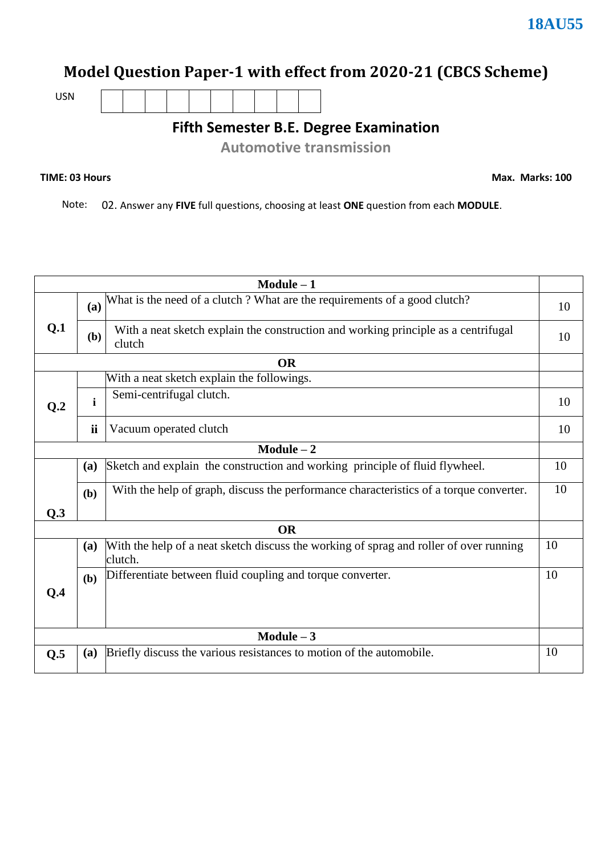## **Model Question Paper-1 with effect from 2020-21 (CBCS Scheme)**



### **Fifth Semester B.E. Degree Examination**

**Automotive transmission**

### **TIME: 03 Hours**

**Max. Marks: 100**

Note: 02. Answer any **FIVE** full questions, choosing at least **ONE** question from each **MODULE**.

| $Module - 1$   |              |                                                                                                   |    |  |  |  |  |
|----------------|--------------|---------------------------------------------------------------------------------------------------|----|--|--|--|--|
|                | (a)          | What is the need of a clutch? What are the requirements of a good clutch?                         | 10 |  |  |  |  |
| Q.1            | (b)          | With a neat sketch explain the construction and working principle as a centrifugal<br>clutch      | 10 |  |  |  |  |
|                |              | <b>OR</b>                                                                                         |    |  |  |  |  |
|                |              | With a neat sketch explain the followings.                                                        |    |  |  |  |  |
| Q <sub>0</sub> | $\mathbf{i}$ | Semi-centrifugal clutch.                                                                          | 10 |  |  |  |  |
|                | ii           | Vacuum operated clutch                                                                            | 10 |  |  |  |  |
|                |              | $Module - 2$                                                                                      |    |  |  |  |  |
|                | (a)          | Sketch and explain the construction and working principle of fluid flywheel.                      | 10 |  |  |  |  |
|                | (b)          | With the help of graph, discuss the performance characteristics of a torque converter.            | 10 |  |  |  |  |
|                | Q.3          |                                                                                                   |    |  |  |  |  |
|                |              | <b>OR</b>                                                                                         |    |  |  |  |  |
|                | (a)          | With the help of a neat sketch discuss the working of sprag and roller of over running<br>clutch. | 10 |  |  |  |  |
| Q.4            | (b)          | Differentiate between fluid coupling and torque converter.                                        | 10 |  |  |  |  |
|                | $Module - 3$ |                                                                                                   |    |  |  |  |  |
| Q.5            | (a)          | Briefly discuss the various resistances to motion of the automobile.                              | 10 |  |  |  |  |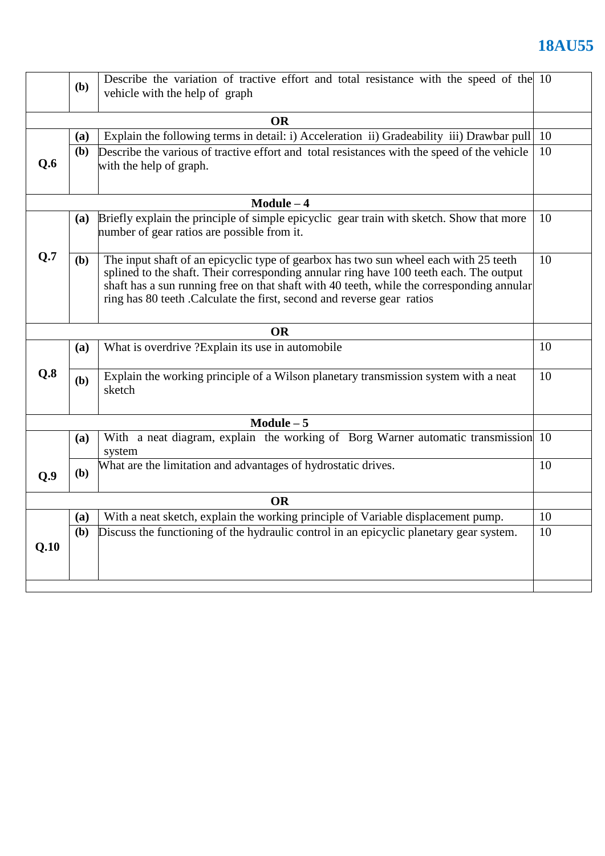# **18AU55**

|           | Describe the variation of tractive effort and total resistance with the speed of the 10<br>( <b>b</b> )<br>vehicle with the help of graph |                                                                                                                                                                                                                                                                                                                                                       |           |  |  |  |
|-----------|-------------------------------------------------------------------------------------------------------------------------------------------|-------------------------------------------------------------------------------------------------------------------------------------------------------------------------------------------------------------------------------------------------------------------------------------------------------------------------------------------------------|-----------|--|--|--|
|           |                                                                                                                                           |                                                                                                                                                                                                                                                                                                                                                       |           |  |  |  |
|           |                                                                                                                                           | <b>OR</b>                                                                                                                                                                                                                                                                                                                                             |           |  |  |  |
|           | (a)                                                                                                                                       | Explain the following terms in detail: i) Acceleration ii) Gradeability iii) Drawbar pull                                                                                                                                                                                                                                                             | -10<br>10 |  |  |  |
| Q.6       | Describe the various of tractive effort and total resistances with the speed of the vehicle<br>( <b>b</b> )<br>with the help of graph.    |                                                                                                                                                                                                                                                                                                                                                       |           |  |  |  |
|           |                                                                                                                                           | $Module - 4$                                                                                                                                                                                                                                                                                                                                          |           |  |  |  |
|           | (a)                                                                                                                                       | Briefly explain the principle of simple epicyclic gear train with sketch. Show that more<br>number of gear ratios are possible from it.                                                                                                                                                                                                               | 10        |  |  |  |
| Q.7       | ( <b>b</b> )                                                                                                                              | The input shaft of an epicyclic type of gearbox has two sun wheel each with 25 teeth<br>splined to the shaft. Their corresponding annular ring have 100 teeth each. The output<br>shaft has a sun running free on that shaft with 40 teeth, while the corresponding annular<br>ring has 80 teeth .Calculate the first, second and reverse gear ratios | 10        |  |  |  |
|           |                                                                                                                                           | <b>OR</b>                                                                                                                                                                                                                                                                                                                                             |           |  |  |  |
|           | (a)                                                                                                                                       | What is overdrive ?Explain its use in automobile                                                                                                                                                                                                                                                                                                      | 10        |  |  |  |
| Q.8       | (b)                                                                                                                                       | Explain the working principle of a Wilson planetary transmission system with a neat<br>sketch                                                                                                                                                                                                                                                         | 10        |  |  |  |
|           |                                                                                                                                           | $Module - 5$                                                                                                                                                                                                                                                                                                                                          |           |  |  |  |
|           | (a)                                                                                                                                       | With a neat diagram, explain the working of Borg Warner automatic transmission 10<br>system                                                                                                                                                                                                                                                           |           |  |  |  |
| Q.9       | (b)                                                                                                                                       | What are the limitation and advantages of hydrostatic drives.                                                                                                                                                                                                                                                                                         | 10        |  |  |  |
| <b>OR</b> |                                                                                                                                           |                                                                                                                                                                                                                                                                                                                                                       |           |  |  |  |
|           | (a)                                                                                                                                       | With a neat sketch, explain the working principle of Variable displacement pump.                                                                                                                                                                                                                                                                      | 10        |  |  |  |
| Q.10      | ( <b>b</b> )                                                                                                                              | Discuss the functioning of the hydraulic control in an epicyclic planetary gear system.                                                                                                                                                                                                                                                               | 10        |  |  |  |
|           |                                                                                                                                           |                                                                                                                                                                                                                                                                                                                                                       |           |  |  |  |